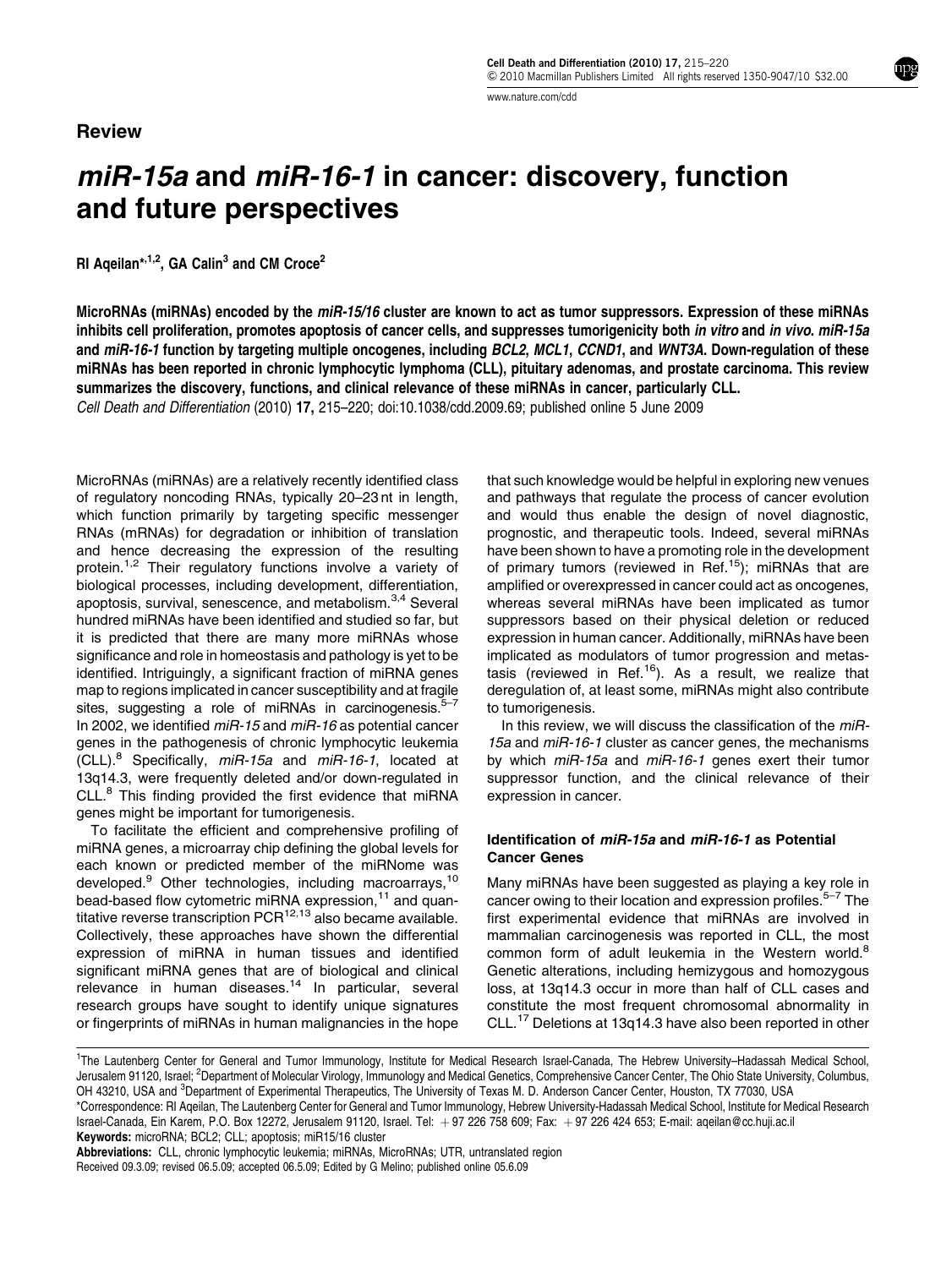# Review

miR-15a and miR-16-1 in cancer: discovery, function and future perspectives

RI Ageilan\*, $1,2$ , GA Calin<sup>3</sup> and CM Croce<sup>2</sup>

MicroRNAs (miRNAs) encoded by the miR-15/16 cluster are known to act as tumor suppressors. Expression of these miRNAs inhibits cell proliferation, promotes apoptosis of cancer cells, and suppresses tumorigenicity both in vitro and in vivo. miR-15a and miR-16-1 function by targeting multiple oncogenes, including BCL2, MCL1, CCND1, and WNT3A. Down-regulation of these miRNAs has been reported in chronic lymphocytic lymphoma (CLL), pituitary adenomas, and prostate carcinoma. This review summarizes the discovery, functions, and clinical relevance of these miRNAs in cancer, particularly CLL. Cell Death and Differentiation (2010) 17, 215–220; doi:[10.1038/cdd.2009.69;](http://dx.doi.org/10.1038/cdd.2009.69) published online 5 June 2009

MicroRNAs (miRNAs) are a relatively recently identified class of regulatory noncoding RNAs, typically 20–23 nt in length, which function primarily by targeting specific messenger RNAs (mRNAs) for degradation or inhibition of translation and hence decreasing the expression of the resulting protein.<sup>[1,2](#page-5-0)</sup> Their regulatory functions involve a variety of biological processes, including development, differentiation, apoptosis, survival, senescence, and metabolism.[3,4](#page-5-0) Several hundred miRNAs have been identified and studied so far, but it is predicted that there are many more miRNAs whose significance and role in homeostasis and pathology is yet to be identified. Intriguingly, a significant fraction of miRNA genes map to regions implicated in cancer susceptibility and at fragile sites, suggesting a role of miRNAs in carcinogenesis.<sup>5</sup> In 2002, we identified miR-15 and miR-16 as potential cancer genes in the pathogenesis of chronic lymphocytic leukemia  $(CLL).$ <sup>[8](#page-5-0)</sup> Specifically,  $miR-15a$  and  $miR-16-1$ , located at 13q14.3, were frequently deleted and/or down-regulated in CLL.[8](#page-5-0) This finding provided the first evidence that miRNA genes might be important for tumorigenesis.

To facilitate the efficient and comprehensive profiling of miRNA genes, a microarray chip defining the global levels for each known or predicted member of the miRNome was developed.<sup>9</sup> Other technologies, including macroarrays,<sup>[10](#page-5-0)</sup> bead-based flow cytometric miRNA expression,<sup>11</sup> and quantitative reverse transcription  $PCR^{12,13}$  $PCR^{12,13}$  $PCR^{12,13}$  also became available. Collectively, these approaches have shown the differential expression of miRNA in human tissues and identified significant miRNA genes that are of biological and clinical relevance in human diseases[.14](#page-5-0) In particular, several research groups have sought to identify unique signatures or fingerprints of miRNAs in human malignancies in the hope that such knowledge would be helpful in exploring new venues and pathways that regulate the process of cancer evolution and would thus enable the design of novel diagnostic, prognostic, and therapeutic tools. Indeed, several miRNAs have been shown to have a promoting role in the development of primary tumors (reviewed in Ref.<sup>[15](#page-5-0)</sup>); miRNAs that are amplified or overexpressed in cancer could act as oncogenes, whereas several miRNAs have been implicated as tumor suppressors based on their physical deletion or reduced expression in human cancer. Additionally, miRNAs have been implicated as modulators of tumor progression and metastasis (reviewed in Ref.<sup>16</sup>). As a result, we realize that deregulation of, at least some, miRNAs might also contribute to tumorigenesis.

In this review, we will discuss the classification of the miR-15a and miR-16-1 cluster as cancer genes, the mechanisms by which miR-15a and miR-16-1 genes exert their tumor suppressor function, and the clinical relevance of their expression in cancer.

# Identification of miR-15a and miR-16-1 as Potential Cancer Genes

Many miRNAs have been suggested as playing a key role in cancer owing to their location and expression profiles.<sup>5–7</sup> The first experimental evidence that miRNAs are involved in mammalian carcinogenesis was reported in CLL, the most common form of adult leukemia in the Western world.<sup>[8](#page-5-0)</sup> Genetic alterations, including hemizygous and homozygous loss, at 13q14.3 occur in more than half of CLL cases and constitute the most frequent chromosomal abnormality in CLL.[17](#page-5-0) Deletions at 13q14.3 have also been reported in other

Received 09.3.09; revised 06.5.09; accepted 06.5.09; Edited by G Melino; published online 05.6.09 Abbreviations: CLL, chronic lymphocytic leukemia; miRNAs, MicroRNAs; UTR, untranslated region

<sup>1</sup> The Lautenberg Center for General and Tumor Immunology, Institute for Medical Research Israel-Canada, The Hebrew University–Hadassah Medical School, Jerusalem 91120, Israel; <sup>2</sup>Department of Molecular Virology, Immunology and Medical Genetics, Comprehensive Cancer Center, The Ohio State University, Columbus, OH 43210, USA and <sup>3</sup>Department of Experimental Therapeutics, The University of Texas M. D. Anderson Cancer Center, Houston, TX 77030, USA \*Correspondence: RI Aqeilan, The Lautenberg Center for General and Tumor Immunology, Hebrew University-Hadassah Medical School, Institute for Medical Research

Israel-Canada, Ein Karem, P.O. Box 12272, Jerusalem 91120, Israel. Tel: +97 226 758 609; Fax: +97 226 424 653; E-mail: [aqeilan@cc.huji.ac.il](mailto:aqeilan@cc.huji.ac.il) Keywords: microRNA; BCL2; CLL; apoptosis; miR15/16 cluster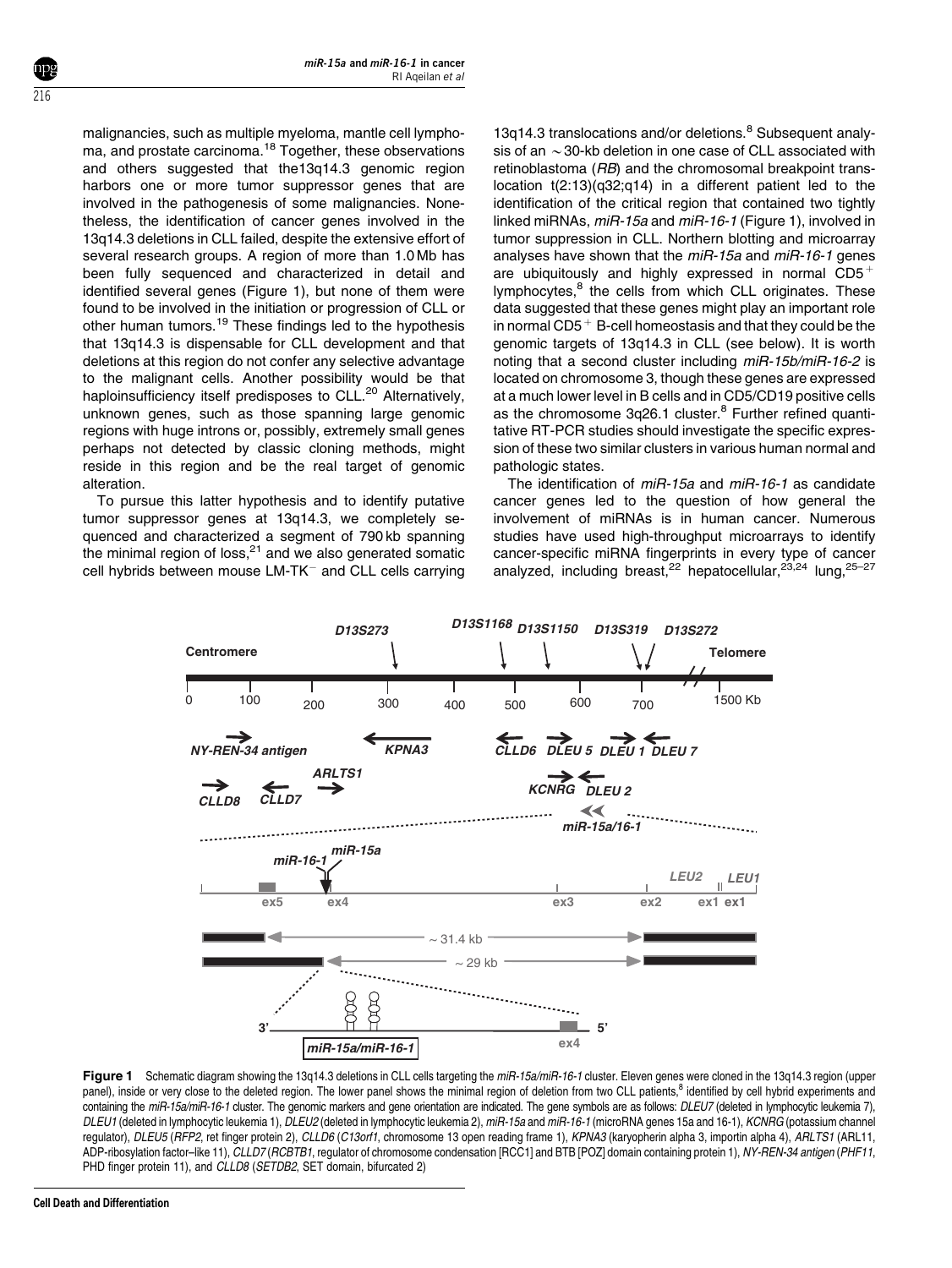malignancies, such as multiple myeloma, mantle cell lymphoma, and prostate carcinoma.[18](#page-5-0) Together, these observations and others suggested that the13q14.3 genomic region harbors one or more tumor suppressor genes that are involved in the pathogenesis of some malignancies. Nonetheless, the identification of cancer genes involved in the 13q14.3 deletions in CLL failed, despite the extensive effort of several research groups. A region of more than 1.0 Mb has been fully sequenced and characterized in detail and identified several genes (Figure 1), but none of them were found to be involved in the initiation or progression of CLL or [other](#page-5-0) [human](#page-5-0) [tumors.](#page-5-0)<sup>19</sup> These findings led to the hypothesis that 13q14.3 is dispensable for CLL development and that deletions at this region do not confer any selective advantage to the malignant cells. Another possibility would be that haploinsufficiency itself predisposes to CLL.<sup>[20](#page-5-0)</sup> Alternatively, unknown genes, such as those spanning large genomic regions with huge introns or, possibly, extremely small genes perhaps not detected by classic cloning methods, might reside in this region and be the real target of genomic alteration.

To pursue this latter hypothesis and to identify putative tumor suppressor genes at 13q14.3, we completely sequenced and characterized a segment of 790 kb spanning the minimal region of loss. $21$  and we also generated somatic cell hybrids between mouse  $LM$ -TK $^-$  and CLL cells carrying

13q14.3 translocations and/or deletions.<sup>[8](#page-5-0)</sup> Subsequent analysis of an  $\sim$  30-kb deletion in one case of CLL associated with retinoblastoma (RB) and the chromosomal breakpoint translocation t(2:13)(q32;q14) in a different patient led to the identification of the critical region that contained two tightly linked miRNAs, miR-15a and miR-16-1 (Figure 1), involved in tumor suppression in CLL. Northern blotting and microarray analyses have shown that the miR-15a and miR-16-1 genes are ubiquitously and highly expressed in normal  $CD5^+$ lymphocytes,<sup>8</sup> the cells from which CLL originates. These data suggested that these genes might play an important role in normal  $CD5<sup>+</sup>$  B-cell homeostasis and that they could be the genomic targets of 13q14.3 in CLL (see below). It is worth noting that a second cluster including miR-15b/miR-16-2 is located on chromosome 3, though these genes are expressed at a much lower level in B cells and in CD5/CD19 positive cells as the chromosome 3q26.1 cluster.<sup>[8](#page-5-0)</sup> Further refined quantitative RT-PCR studies should investigate the specific expression of these two similar clusters in various human normal and pathologic states.

The identification of miR-15a and miR-16-1 as candidate cancer genes led to the question of how general the involvement of miRNAs is in human cancer. Numerous studies have used high-throughput microarrays to identify cancer-specific miRNA fingerprints in every type of cancer analyzed, including breast,<sup>[22](#page-5-0)</sup> hepatocellular,<sup>[23,24](#page-5-0)</sup> lung.<sup>25-27</sup>



Figure 1 Schematic diagram showing the 13q14.3 deletions in CLL cells targeting the miR-15a/miR-16-1 cluster. Eleven genes were cloned in the 13q14.3 region (upper panel), inside or very close to the deleted region. The lower panel shows the minimal region of deletion from two CLL patients,<sup>[8](#page-5-0)</sup> identified by cell hybrid experiments and containing the miR-15a/miR-16-1 cluster. The genomic markers and gene orientation are indicated. The gene symbols are as follows: DLEU7 (deleted in lymphocytic leukemia 7), DLEU1 (deleted in lymphocytic leukemia 1), DLEU2 (deleted in lymphocytic leukemia 2), miR-15a and miR-16-1 (microRNA genes 15a and 16-1), KCNRG (potassium channel regulator), DLEU5 (RFP2, ret finger protein 2), CLLD6 (C13orf1, chromosome 13 open reading frame 1), KPNA3 (karyopherin alpha 3, importin alpha 4), ARLTS1 (ARL11, ADP-ribosylation factor–like 11), CLLD7 (RCBTB1, regulator of chromosome condensation [RCC1] and BTB [POZ] domain containing protein 1), NY-REN-34 antigen (PHF11, PHD finger protein 11), and CLLD8 (SETDB2, SET domain, bifurcated 2)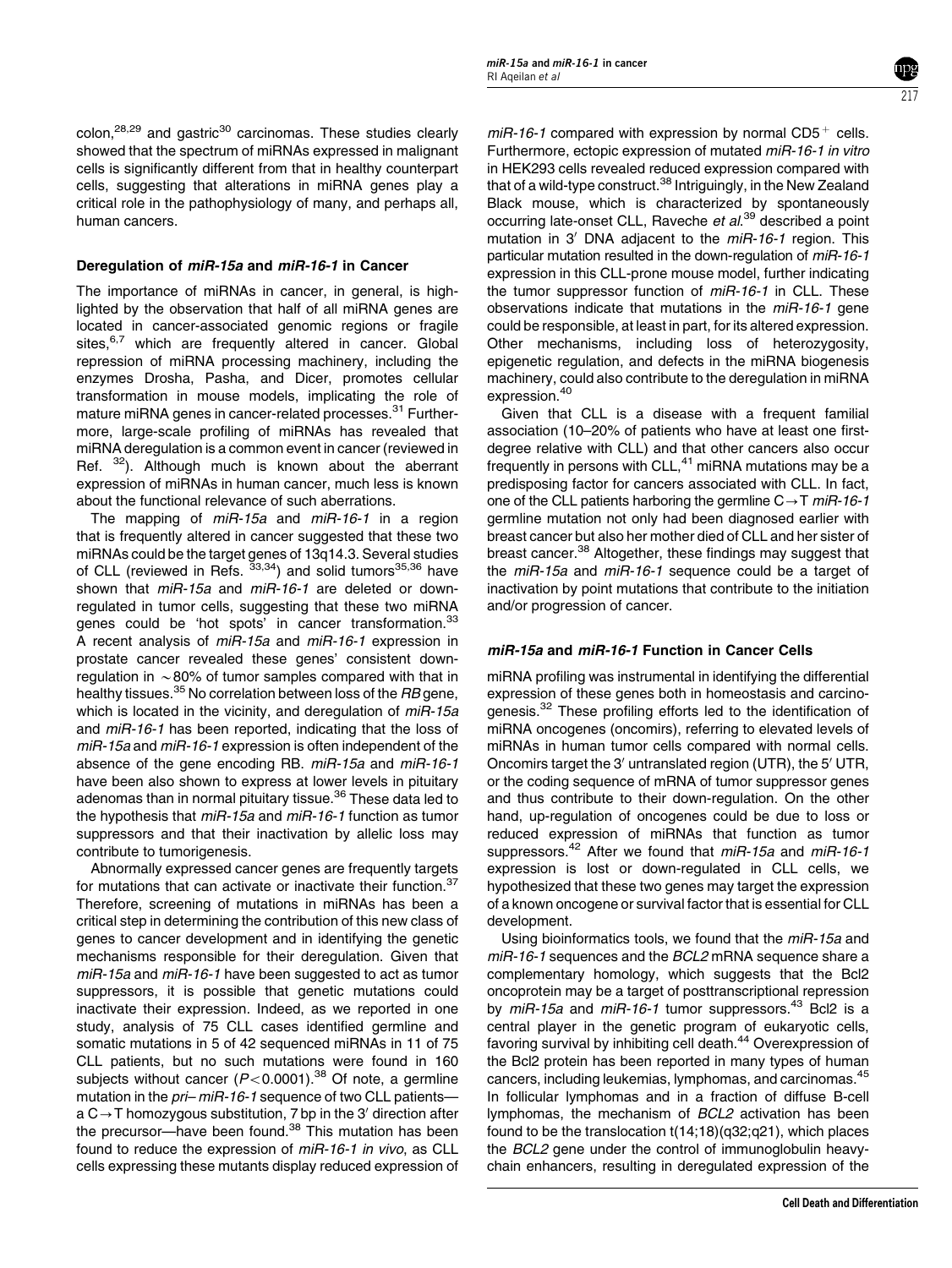colon,<sup>[28,29](#page-5-0)</sup> and gastric<sup>[30](#page-5-0)</sup> carcinomas. These studies clearly showed that the spectrum of miRNAs expressed in malignant cells is significantly different from that in healthy counterpart cells, suggesting that alterations in miRNA genes play a critical role in the pathophysiology of many, and perhaps all, human cancers.

### Deregulation of miR-15a and miR-16-1 in Cancer

The importance of miRNAs in cancer, in general, is highlighted by the observation that half of all miRNA genes are located in cancer-associated genomic regions or fragile sites,<sup>[6,7](#page-5-0)</sup> which are frequently altered in cancer. Global repression of miRNA processing machinery, including the enzymes Drosha, Pasha, and Dicer, promotes cellular transformation in mouse models, implicating the role of mature miRNA genes in cancer-related processes.[31](#page-5-0) Furthermore, large-scale profiling of miRNAs has revealed that miRNA deregulation is a common event in cancer (reviewed in Ref. <sup>[32](#page-5-0)</sup>). Although much is known about the aberrant expression of miRNAs in human cancer, much less is known about the functional relevance of such aberrations.

The mapping of *miR-15a* and *miR-16-1* in a region that is frequently altered in cancer suggested that these two miRNAs could be the target genes of 13q14.3. Several studies of CLL (reviewed in Refs.  $33,34$ ) and solid tumors $35,36$  have shown that miR-15a and miR-16-1 are deleted or downregulated in tumor cells, suggesting that these two miRNA genes could be 'hot spots' in cancer transformation.<sup>[33](#page-5-0)</sup> A recent analysis of miR-15a and miR-16-1 expression in prostate cancer revealed these genes' consistent downregulation in  $\sim$  80% of tumor samples compared with that in healthy tissues.<sup>[35](#page-5-0)</sup> No correlation between loss of the RB gene, which is located in the vicinity, and deregulation of miR-15a and miR-16-1 has been reported, indicating that the loss of miR-15a and miR-16-1 expression is often independent of the absence of the gene encoding RB. miR-15a and miR-16-1 have been also shown to express at lower levels in pituitary adenomas than in normal pituitary tissue.<sup>36</sup> These data led to the hypothesis that  $miR-15a$  and  $miR-16-1$  function as tumor suppressors and that their inactivation by allelic loss may contribute to tumorigenesis.

Abnormally expressed cancer genes are frequently targets for mutations that can activate or inactivate their function.<sup>[37](#page-5-0)</sup> Therefore, screening of mutations in miRNAs has been a critical step in determining the contribution of this new class of genes to cancer development and in identifying the genetic mechanisms responsible for their deregulation. Given that miR-15a and miR-16-1 have been suggested to act as tumor suppressors, it is possible that genetic mutations could inactivate their expression. Indeed, as we reported in one study, analysis of 75 CLL cases identified germline and somatic mutations in 5 of 42 sequenced miRNAs in 11 of 75 CLL patients, but no such mutations were found in 160 subjects without cancer  $(P<0.0001)$ .<sup>[38](#page-5-0)</sup> Of note, a germline mutation in the pri- miR-16-1 sequence of two CLL patientsa  $C \rightarrow T$  homozygous substitution, 7 bp in the 3' direction after the precursor—have been found.<sup>[38](#page-5-0)</sup> This mutation has been found to reduce the expression of miR-16-1 in vivo, as CLL cells expressing these mutants display reduced expression of

 $miR-16-1$  compared with expression by normal CD5<sup>+</sup> cells. Furthermore, ectopic expression of mutated miR-16-1 in vitro in HEK293 cells revealed reduced expression compared with that of a wild-type construct.<sup>38</sup> Intriguingly, in the New Zealand Black mouse, which is characterized by spontaneously occurring late-onset CLL, Raveche et al.<sup>[39](#page-5-0)</sup> described a point mutation in  $3'$  DNA adjacent to the  $miR-16-1$  region. This particular mutation resulted in the down-regulation of miR-16-1 expression in this CLL-prone mouse model, further indicating the tumor suppressor function of  $miR-16-1$  in CLL. These observations indicate that mutations in the miR-16-1 gene could be responsible, at least in part, for its altered expression. Other mechanisms, including loss of heterozygosity, epigenetic regulation, and defects in the miRNA biogenesis machinery, could also contribute to the deregulation in miRNA expression.<sup>[40](#page-5-0)</sup>

Given that CLL is a disease with a frequent familial association (10–20% of patients who have at least one firstdegree relative with CLL) and that other cancers also occur frequently in persons with CLL, $41$  miRNA mutations may be a predisposing factor for cancers associated with CLL. In fact, one of the CLL patients harboring the germline  $C \rightarrow T$  miR-16-1 germline mutation not only had been diagnosed earlier with breast cancer but also her mother died of CLL and her sister of breast cancer.<sup>[38](#page-5-0)</sup> Altogether, these findings may suggest that the miR-15a and miR-16-1 sequence could be a target of inactivation by point mutations that contribute to the initiation and/or progression of cancer.

#### miR-15a and miR-16-1 Function in Cancer Cells

miRNA profiling was instrumental in identifying the differential expression of these genes both in homeostasis and carcino-genesis.<sup>[32](#page-5-0)</sup> These profiling efforts led to the identification of miRNA oncogenes (oncomirs), referring to elevated levels of miRNAs in human tumor cells compared with normal cells. Oncomirs target the 3' untranslated region (UTR), the 5' UTR, or the coding sequence of mRNA of tumor suppressor genes and thus contribute to their down-regulation. On the other hand, up-regulation of oncogenes could be due to loss or reduced expression of miRNAs that function as tumor suppressors.<sup>[42](#page-5-0)</sup> After we found that miR-15a and miR-16-1 expression is lost or down-regulated in CLL cells, we hypothesized that these two genes may target the expression of a known oncogene or survival factor that is essential for CLL development.

Using bioinformatics tools, we found that the miR-15a and miR-16-1 sequences and the BCL2 mRNA sequence share a complementary homology, which suggests that the Bcl2 oncoprotein may be a target of posttranscriptional repression by miR-15a and miR-16-1 tumor suppressors.<sup>[43](#page-5-0)</sup> Bcl2 is a central player in the genetic program of eukaryotic cells, favoring survival by inhibiting cell death.<sup>[44](#page-5-0)</sup> Overexpression of the Bcl2 protein has been reported in many types of human cancers, including leukemias, lymphomas, and carcinomas.[45](#page-5-0) In follicular lymphomas and in a fraction of diffuse B-cell lymphomas, the mechanism of BCL2 activation has been found to be the translocation t(14;18)(q32;q21), which places the BCL2 gene under the control of immunoglobulin heavychain enhancers, resulting in deregulated expression of the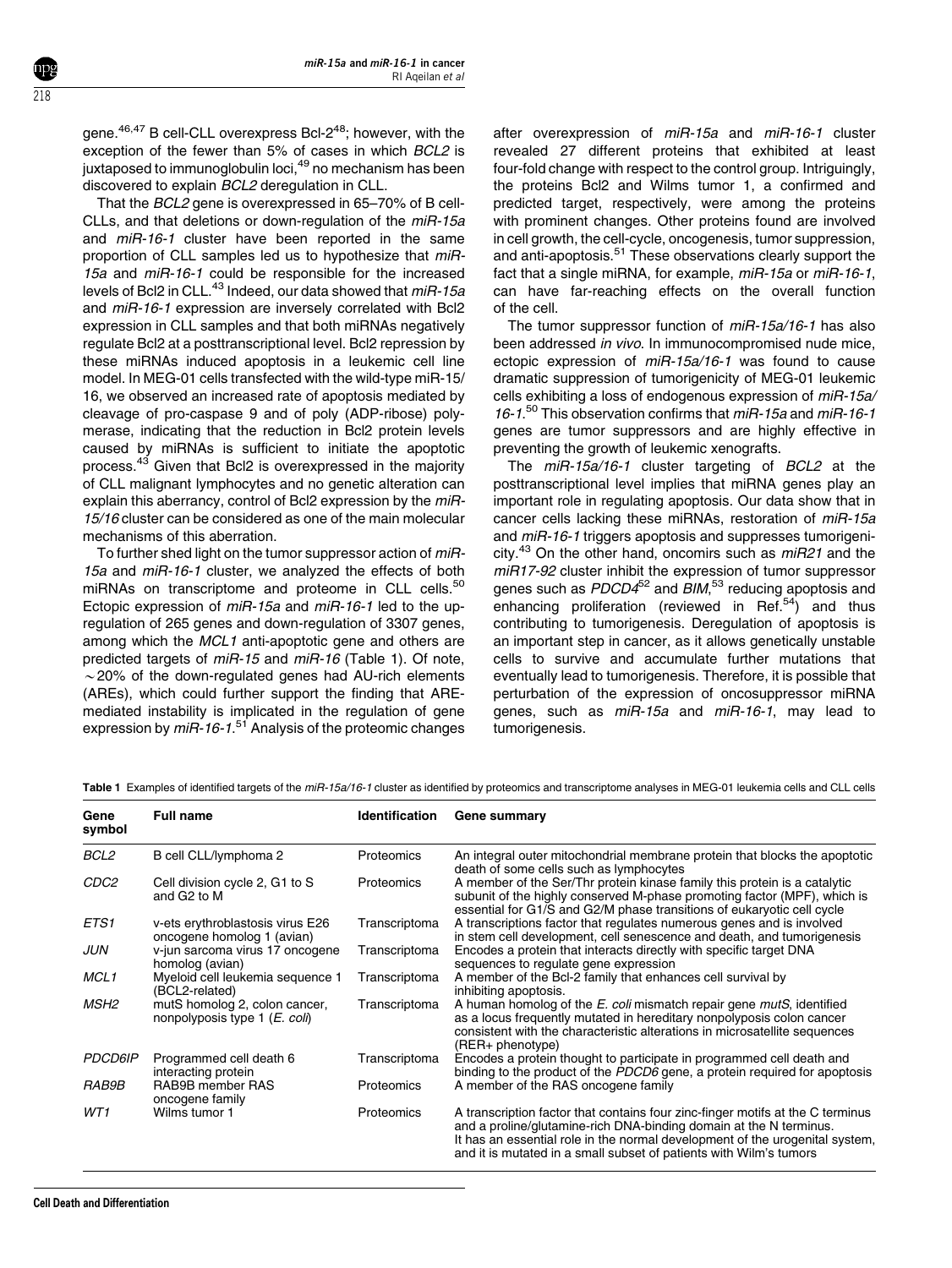gene.<sup>46,47</sup> B cell-CLL overexpress Bcl-2<sup>[48](#page-5-0)</sup>; however, with the exception of the fewer than 5% of cases in which BCL2 is juxtaposed to immunoglobulin loci,<sup>[49](#page-5-0)</sup> no mechanism has been discovered to explain BCL2 deregulation in CLL.

That the BCL2 gene is overexpressed in 65–70% of B cell-CLLs, and that deletions or down-regulation of the miR-15a and miR-16-1 cluster have been reported in the same proportion of CLL samples led us to hypothesize that miR-15a and miR-16-1 could be responsible for the increased levels of Bcl2 in CLL.<sup>[43](#page-5-0)</sup> Indeed, our data showed that miR-15a and miR-16-1 expression are inversely correlated with Bcl2 expression in CLL samples and that both miRNAs negatively regulate Bcl2 at a posttranscriptional level. Bcl2 repression by these miRNAs induced apoptosis in a leukemic cell line model. In MEG-01 cells transfected with the wild-type miR-15/ 16, we observed an increased rate of apoptosis mediated by cleavage of pro-caspase 9 and of poly (ADP-ribose) polymerase, indicating that the reduction in Bcl2 protein levels caused by miRNAs is sufficient to initiate the apoptotic process.[43](#page-5-0) Given that Bcl2 is overexpressed in the majority of CLL malignant lymphocytes and no genetic alteration can explain this aberrancy, control of Bcl2 expression by the miR-15/16 cluster can be considered as one of the main molecular mechanisms of this aberration.

To further shed light on the tumor suppressor action of  $miR$ -15a and miR-16-1 cluster, we analyzed the effects of both miRNAs on transcriptome and proteome in CLL cells.<sup>[50](#page-5-0)</sup> Ectopic expression of miR-15a and miR-16-1 led to the upregulation of 265 genes and down-regulation of 3307 genes, among which the MCL1 anti-apoptotic gene and others are predicted targets of miR-15 and miR-16 (Table 1). Of note,  $\sim$  20% of the down-regulated genes had AU-rich elements (AREs), which could further support the finding that AREmediated instability is implicated in the regulation of gene expression by *miR-16-1.*<sup>[51](#page-5-0)</sup> Analysis of the proteomic changes

after overexpression of miR-15a and miR-16-1 cluster revealed 27 different proteins that exhibited at least four-fold change with respect to the control group. Intriguingly, the proteins Bcl2 and Wilms tumor 1, a confirmed and predicted target, respectively, were among the proteins with prominent changes. Other proteins found are involved in cell growth, the cell-cycle, oncogenesis, tumor suppression, and anti-apoptosis.<sup>[51](#page-5-0)</sup> These observations clearly support the fact that a single miRNA, for example, miR-15a or miR-16-1, can have far-reaching effects on the overall function of the cell.

The tumor suppressor function of miR-15a/16-1 has also been addressed in vivo. In immunocompromised nude mice, ectopic expression of miR-15a/16-1 was found to cause dramatic suppression of tumorigenicity of MEG-01 leukemic cells exhibiting a loss of endogenous expression of miR-15a/ 16-1. [50](#page-5-0) This observation confirms that miR-15a and miR-16-1 genes are tumor suppressors and are highly effective in preventing the growth of leukemic xenografts.

The  $miR-15a/16-1$  cluster targeting of BCL2 at the posttranscriptional level implies that miRNA genes play an important role in regulating apoptosis. Our data show that in cancer cells lacking these miRNAs, restoration of miR-15a and miR-16-1 triggers apoptosis and suppresses tumorigeni-city.<sup>[43](#page-5-0)</sup> On the other hand, oncomirs such as  $mR21$  and the miR17-92 cluster inhibit the expression of tumor suppressor genes such as PDCD4<sup>[52](#page-5-0)</sup> and BIM,<sup>[53](#page-5-0)</sup> reducing apoptosis and enhancing proliferation (reviewed in Ref.<sup>54</sup>) and thus contributing to tumorigenesis. Deregulation of apoptosis is an important step in cancer, as it allows genetically unstable cells to survive and accumulate further mutations that eventually lead to tumorigenesis. Therefore, it is possible that perturbation of the expression of oncosuppressor miRNA genes, such as miR-15a and miR-16-1, may lead to tumorigenesis.

| Gene<br>symbol   | <b>Full name</b>                                                        | <b>Identification</b> | Gene summary                                                                                                                                                                                                                                                                                               |
|------------------|-------------------------------------------------------------------------|-----------------------|------------------------------------------------------------------------------------------------------------------------------------------------------------------------------------------------------------------------------------------------------------------------------------------------------------|
| BCL2             | B cell CLL/lymphoma 2                                                   | Proteomics            | An integral outer mitochondrial membrane protein that blocks the apoptotic<br>death of some cells such as lymphocytes                                                                                                                                                                                      |
| CDC2             | Cell division cycle 2, G1 to S<br>and G2 to M                           | Proteomics            | A member of the Ser/Thr protein kinase family this protein is a catalytic<br>subunit of the highly conserved M-phase promoting factor (MPF), which is<br>essential for G1/S and G2/M phase transitions of eukaryotic cell cycle                                                                            |
| ETS1             | v-ets erythroblastosis virus E26<br>oncogene homolog 1 (avian)          | Transcriptoma         | A transcriptions factor that regulates numerous genes and is involved<br>in stem cell development, cell senescence and death, and tumorigenesis                                                                                                                                                            |
| <b>JUN</b>       | v-jun sarcoma virus 17 oncogene<br>homolog (avian)                      | Transcriptoma         | Encodes a protein that interacts directly with specific target DNA<br>sequences to regulate gene expression                                                                                                                                                                                                |
| MCL <sub>1</sub> | Myeloid cell leukemia sequence 1<br>(BCL2-related)                      | Transcriptoma         | A member of the Bcl-2 family that enhances cell survival by<br>inhibiting apoptosis.                                                                                                                                                                                                                       |
| MSH2             | mutS homolog 2, colon cancer,<br>nonpolyposis type 1 ( <i>E. coli</i> ) | Transcriptoma         | A human homolog of the E. coli mismatch repair gene mutS, identified<br>as a locus frequently mutated in hereditary nonpolyposis colon cancer<br>consistent with the characteristic alterations in microsatellite sequences<br>$(RER+phenotype)$                                                           |
| <b>PDCD6IP</b>   | Programmed cell death 6<br>interacting protein                          | Transcriptoma         | Encodes a protein thought to participate in programmed cell death and<br>binding to the product of the PDCD6 gene, a protein required for apoptosis                                                                                                                                                        |
| RAB9B            | RAB9B member RAS<br>oncogene family                                     | Proteomics            | A member of the RAS oncogene family                                                                                                                                                                                                                                                                        |
| WT1              | Wilms tumor 1                                                           | Proteomics            | A transcription factor that contains four zinc-finger motifs at the C terminus<br>and a proline/glutamine-rich DNA-binding domain at the N terminus.<br>It has an essential role in the normal development of the urogenital system,<br>and it is mutated in a small subset of patients with Wilm's tumors |

Table 1 Examples of identified targets of the miR-15a/16-1 cluster as identified by proteomics and transcriptome analyses in MEG-01 leukemia cells and CLL cells

<span id="page-3-0"></span>218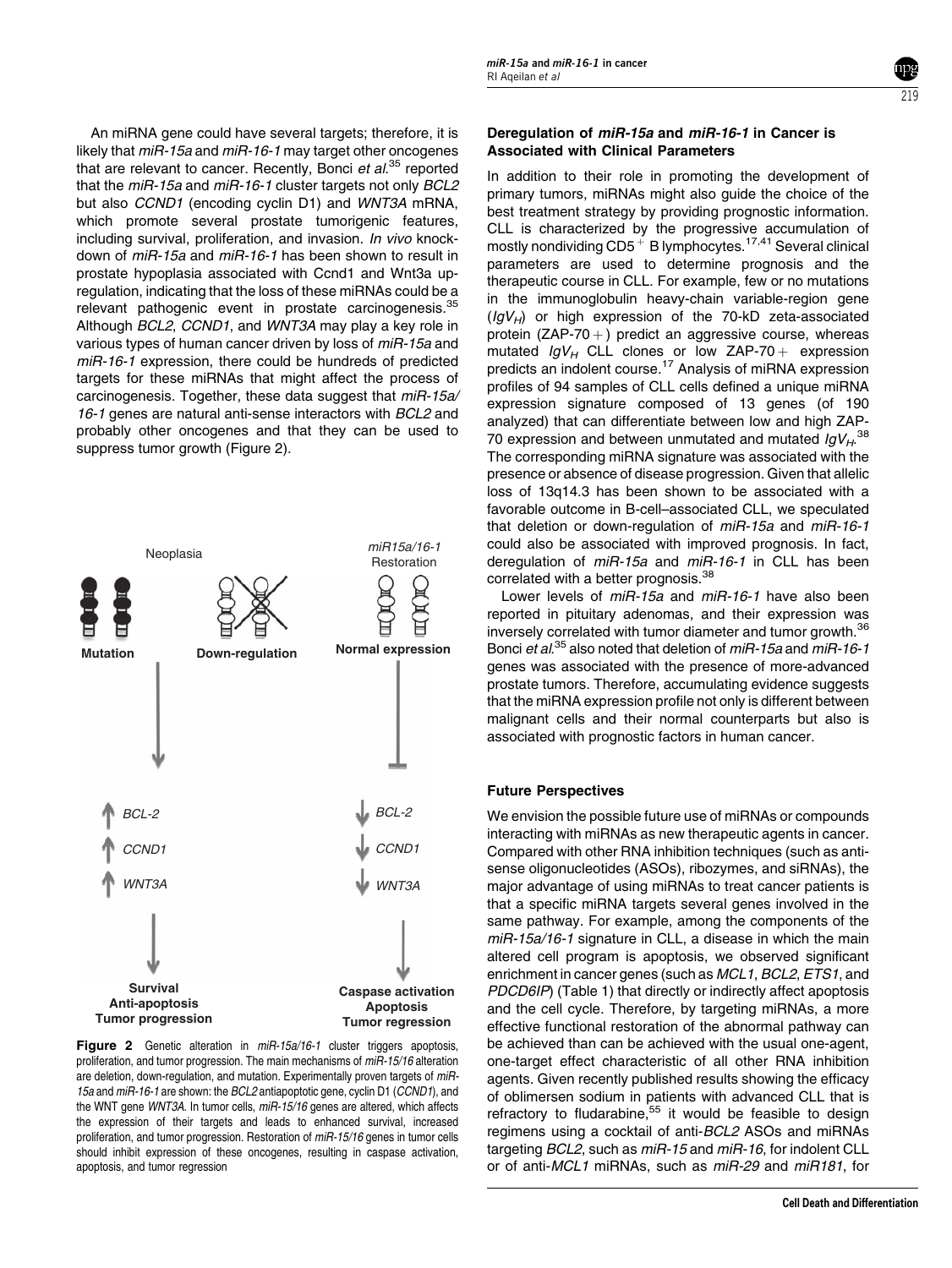An miRNA gene could have several targets; therefore, it is likely that miR-15a and miR-16-1 may target other oncogenes that are relevant to cancer. Recently, Bonci et al.<sup>[35](#page-5-0)</sup> reported that the miR-15a and miR-16-1 cluster targets not only BCL2 but also CCND1 (encoding cyclin D1) and WNT3A mRNA, which promote several prostate tumorigenic features, including survival, proliferation, and invasion. In vivo knockdown of miR-15a and miR-16-1 has been shown to result in prostate hypoplasia associated with Ccnd1 and Wnt3a upregulation, indicating that the loss of these miRNAs could be a relevant pathogenic event in prostate carcinogenesis.<sup>[35](#page-5-0)</sup> Although BCL2, CCND1, and WNT3A may play a key role in various types of human cancer driven by loss of miR-15a and miR-16-1 expression, there could be hundreds of predicted targets for these miRNAs that might affect the process of carcinogenesis. Together, these data suggest that miR-15a/ 16-1 genes are natural anti-sense interactors with BCL2 and probably other oncogenes and that they can be used to suppress tumor growth (Figure 2).



Figure 2 Genetic alteration in miR-15a/16-1 cluster triggers apoptosis, proliferation, and tumor progression. The main mechanisms of miR-15/16 alteration are deletion, down-regulation, and mutation. Experimentally proven targets of miR-15a and miR-16-1 are shown: the BCL2 antiapoptotic gene, cyclin D1 (CCND1), and the WNT gene WNT3A. In tumor cells, miR-15/16 genes are altered, which affects the expression of their targets and leads to enhanced survival, increased proliferation, and tumor progression. Restoration of miR-15/16 genes in tumor cells should inhibit expression of these oncogenes, resulting in caspase activation, apoptosis, and tumor regression

### Deregulation of miR-15a and miR-16-1 in Cancer is Associated with Clinical Parameters

In addition to their role in promoting the development of primary tumors, miRNAs might also guide the choice of the best treatment strategy by providing prognostic information. CLL is characterized by the progressive accumulation of mostly nondividing  $CD5<sup>+</sup>$  B lymphocytes.<sup>[17,41](#page-5-0)</sup> Several clinical parameters are used to determine prognosis and the therapeutic course in CLL. For example, few or no mutations in the immunoglobulin heavy-chain variable-region gene  $(IqV_H)$  or high expression of the 70-kD zeta-associated protein (ZAP-70  $+$ ) predict an aggressive course, whereas mutated  $IgV_H$  CLL clones or low ZAP-70 + expression predicts an indolent course.<sup>17</sup> Analysis of miRNA expression profiles of 94 samples of CLL cells defined a unique miRNA expression signature composed of 13 genes (of 190 analyzed) that can differentiate between low and high ZAP-70 expression and between unmutated and mutated  $lgV_{H}$ .<sup>[38](#page-5-0)</sup> The corresponding miRNA signature was associated with the presence or absence of disease progression. Given that allelic loss of 13q14.3 has been shown to be associated with a favorable outcome in B-cell–associated CLL, we speculated that deletion or down-regulation of miR-15a and miR-16-1 could also be associated with improved prognosis. In fact, deregulation of *miR-15a* and *miR-16-1* in CLL has been correlated with a better prognosis.<sup>[38](#page-5-0)</sup>

Lower levels of miR-15a and miR-16-1 have also been reported in pituitary adenomas, and their expression was inversely correlated with tumor diameter and tumor growth.<sup>[36](#page-5-0)</sup> Bonci et al.<sup>[35](#page-5-0)</sup> also noted that deletion of miR-15a and miR-16-1 genes was associated with the presence of more-advanced prostate tumors. Therefore, accumulating evidence suggests that the miRNA expression profile not only is different between malignant cells and their normal counterparts but also is associated with prognostic factors in human cancer.

# Future Perspectives

We envision the possible future use of miRNAs or compounds interacting with miRNAs as new therapeutic agents in cancer. Compared with other RNA inhibition techniques (such as antisense oligonucleotides (ASOs), ribozymes, and siRNAs), the major advantage of using miRNAs to treat cancer patients is that a specific miRNA targets several genes involved in the same pathway. For example, among the components of the miR-15a/16-1 signature in CLL, a disease in which the main altered cell program is apoptosis, we observed significant enrichment in cancer genes (such as MCL1, BCL2, ETS1, and PDCD6IP) ([Table 1](#page-3-0)) that directly or indirectly affect apoptosis and the cell cycle. Therefore, by targeting miRNAs, a more effective functional restoration of the abnormal pathway can be achieved than can be achieved with the usual one-agent, one-target effect characteristic of all other RNA inhibition agents. Given recently published results showing the efficacy of oblimersen sodium in patients with advanced CLL that is refractory to fludarabine,<sup>55</sup> it would be feasible to design regimens using a cocktail of anti-BCL2 ASOs and miRNAs targeting BCL2, such as miR-15 and miR-16, for indolent CLL or of anti-MCL1 miRNAs, such as miR-29 and miR181, for